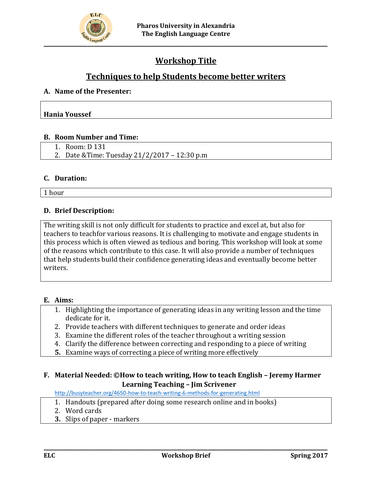

# **Workshop Title**

# **Techniques to help Students become better writers**

#### **A. Name of the Presenter:**

#### **Hania Youssef**

#### **B. Room Number and Time:**

- 1. Room: D 131
- 2. Date &Time: Tuesday 21/2/2017 12:30 p.m

#### **C. Duration:**

1 hour

### **D. Brief Description:**

The writing skill is not only difficult for students to practice and excel at, but also for teachers to teachfor various reasons. It is challenging to motivate and engage students in this process which is often viewed as tedious and boring. This workshop will look at some of the reasons which contribute to this case. It will also provide a number of techniques that help students build their confidence generating ideas and eventually become better writers.

#### **E. Aims:**

- 1. Highlighting the importance of generating ideas in any writing lesson and the time dedicate for it.
- 2. Provide teachers with different techniques to generate and order ideas
- 3. Examine the different roles of the teacher throughout a writing session
- 4. Clarify the difference between correcting and responding to a piece of writing
- **5.** Examine ways of correcting a piece of writing more effectively

## **F. Material Needed: ©How to teach writing, How to teach English – Jeremy Harmer Learning Teaching – Jim Scrivener**

<http://busyteacher.org/4650-how-to-teach-writing-6-methods-for-generating.html>

- 1. Handouts (prepared after doing some research online and in books)
- 2. Word cards
- **3.** Slips of paper markers